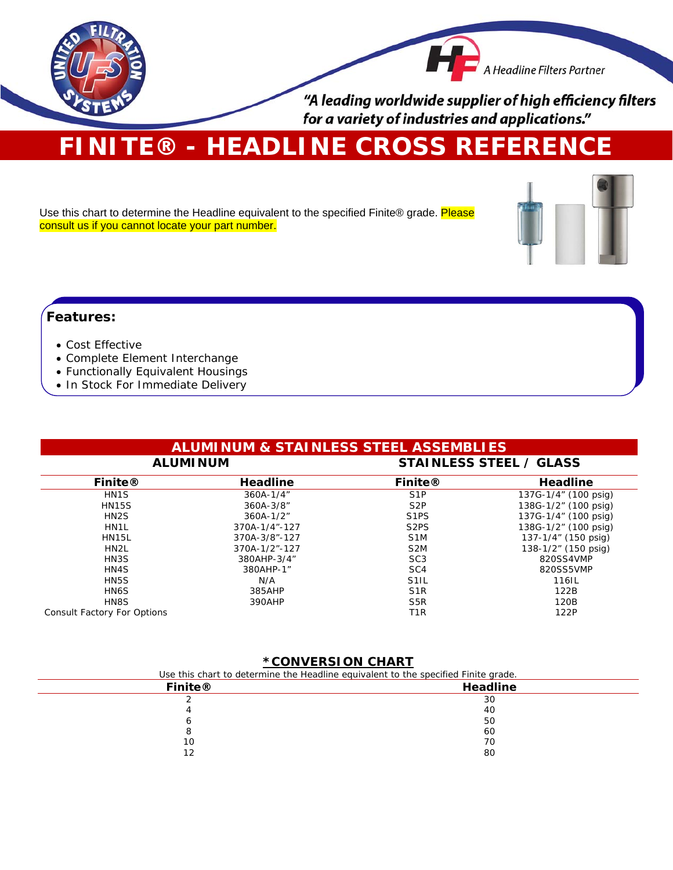

# **FINITE® - HEADLINE CROSS REFERENCE**

Use this chart to determine the Headline equivalent to the specified Finite® grade. Please consult us if you cannot locate your part number.



### **Features:**

### Cost Effective

- Complete Element Interchange
- Functionally Equivalent Housings
- In Stock For Immediate Delivery

| <b>ALUMINUM &amp; STAINLESS STEEL ASSEMBLIES</b><br><b>STAINLESS STEEL / GLASS</b><br><b>ALUMINUM</b> |               |                   |                      |
|-------------------------------------------------------------------------------------------------------|---------------|-------------------|----------------------|
|                                                                                                       |               |                   |                      |
| HN <sub>1</sub> S                                                                                     | 360A-1/4"     | S <sub>1</sub> P  | 137G-1/4" (100 psig) |
| <b>HN15S</b>                                                                                          | 360A-3/8"     | S <sub>2</sub> P  | 138G-1/2" (100 psig) |
| HN <sub>2</sub> S                                                                                     | $360A-1/2"$   | S <sub>1</sub> PS | 137G-1/4" (100 psig) |
| HN1L                                                                                                  | 370A-1/4"-127 | S <sub>2</sub> PS | 138G-1/2" (100 psig) |
| <b>HN15L</b>                                                                                          | 370A-3/8"-127 | S <sub>1</sub> M  | 137-1/4" (150 psig)  |
| HN <sub>2</sub> L                                                                                     | 370A-1/2"-127 | S <sub>2</sub> M  | 138-1/2" (150 psig)  |
| HN3S                                                                                                  | 380AHP-3/4"   | SC <sub>3</sub>   | 820SS4VMP            |
| HN4S                                                                                                  | 380AHP-1"     | SC <sub>4</sub>   | 820SS5VMP            |
| HN <sub>5</sub> S                                                                                     | N/A           | S <sub>1</sub> IL | 116IL                |
| HN <sub>6</sub> S                                                                                     | 385AHP        | S <sub>1</sub> R  | 122B                 |
| HN8S                                                                                                  | 390AHP        | S <sub>5</sub> R  | 120B                 |
| <b>Consult Factory For Options</b>                                                                    |               | T1R               | 122P                 |

### **\*CONVERSION CHART**

| Use this chart to determine the Headline equivalent to the specified Finite grade. |          |  |
|------------------------------------------------------------------------------------|----------|--|
| <b>Finite®</b>                                                                     | Headline |  |
|                                                                                    | 30       |  |
|                                                                                    | 40       |  |
|                                                                                    | 50       |  |
|                                                                                    | 60       |  |
| 10                                                                                 | 70       |  |
| 12                                                                                 | 80       |  |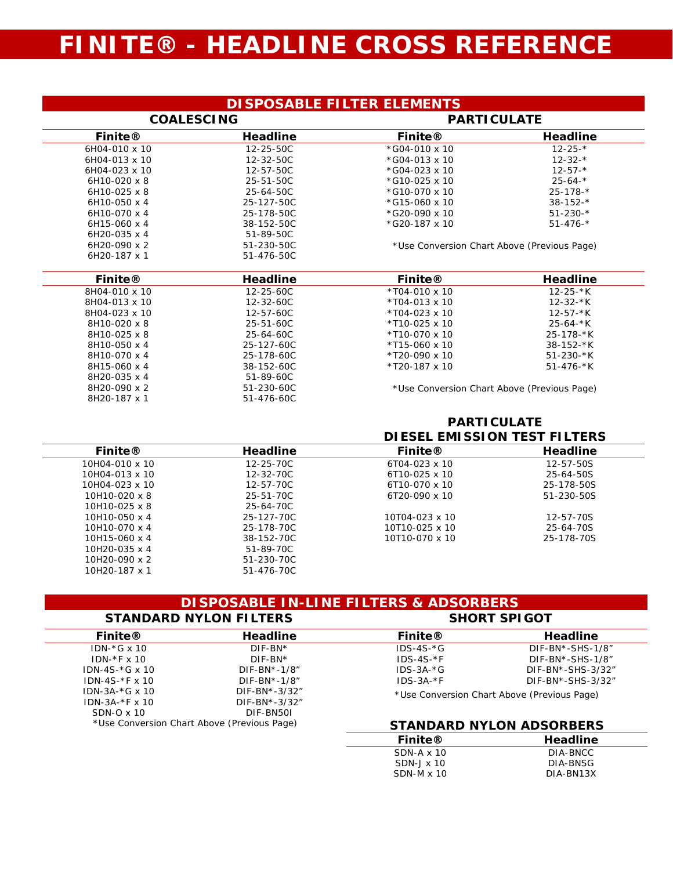## **FINITE® - HEADLINE CROSS REFERENCE**

| <b>DISPOSABLE FILTER ELEMENTS</b> |  |
|-----------------------------------|--|
|-----------------------------------|--|

| <b>COALESCING</b>   |                 | <b>PARTICULATE</b>                          |                 |
|---------------------|-----------------|---------------------------------------------|-----------------|
| <b>Finite®</b>      | <b>Headline</b> | <b>Finite®</b>                              | <b>Headline</b> |
| 6H04-010 x 10       | 12-25-50C       | $*$ G04-010 x 10                            | $12 - 25 - *$   |
| 6H04-013 x 10       | 12-32-50C       | $*$ G04-013 x 10                            | $12 - 32 - *$   |
| 6H04-023 x 10       | 12-57-50C       | $*$ G04-023 x 10                            | $12 - 57 -$ *   |
| $6H10-020 \times 8$ | 25-51-50C       | $*$ G10-025 x 10                            | $25 - 64 - *$   |
| $6H10-025 \times 8$ | 25-64-50C       | $*$ G10-070 x 10                            | $25 - 178 -$ *  |
| 6H10-050 x 4        | 25-127-50C      | $*$ G15-060 x 10                            | $38 - 152 -$ *  |
| 6H10-070 x 4        | 25-178-50C      | $*$ G20-090 x 10                            | $51 - 230 - *$  |
| $6H15-060 \times 4$ | 38-152-50C      | $*$ G20-187 x 10                            | $51 - 476 - *$  |
| $6H20-035 \times 4$ | 51-89-50C       |                                             |                 |
| $6H20-090 \times 2$ | 51-230-50C      | *Use Conversion Chart Above (Previous Page) |                 |
| 6H20-187 x 1        | 51-476-50C      |                                             |                 |

| <b>Finite®</b>      | <b>Headline</b> | <b>Finite®</b>                              | Headline        |
|---------------------|-----------------|---------------------------------------------|-----------------|
| 8H04-010 x 10       | 12-25-60C       | $*T04-010 \times 10$                        | $12 - 25 - k$   |
| 8H04-013 x 10       | 12-32-60C       | $*T04-013 \times 10$                        | $12 - 32 - k$   |
| 8H04-023 x 10       | 12-57-60C       | $*T04-023 \times 10$                        | $12 - 57 - k$   |
| $8H10-020 \times 8$ | 25-51-60C       | $*T10-025 \times 10$                        | 25-64-*K        |
| 8H10-025 x 8        | 25-64-60C       | *T10-070 x 10                               | $25 - 178 - k$  |
| 8H10-050 x 4        | 25-127-60C      | $*T15-060 \times 10$                        | $38 - 152 - k$  |
| 8H10-070 x 4        | 25-178-60C      | *T20-090 x 10                               | $51 - 230 - kK$ |
| 8H15-060 x 4        | 38-152-60C      | $*T20-187 \times 10$                        | $51 - 476 - k$  |
| 8H20-035 x 4        | 51-89-60C       |                                             |                 |
| 8H20-090 x 2        | 51-230-60C      | *Use Conversion Chart Above (Previous Page) |                 |
| 8H20-187 x 1        | 51-476-60C      |                                             |                 |

### **PARTICULATE DIESEL EMISSION TEST FILTERS**

DIA-BNSG DIA-BN13X

| <b>Finite®</b>       | <b>Headline</b> | <b>Finite®</b>       | <b>Headline</b> |
|----------------------|-----------------|----------------------|-----------------|
| 10H04-010 x 10       | 12-25-70C       | 6T04-023 x 10        | 12-57-50S       |
| 10H04-013 x 10       | 12-32-70C       | $6T10-025 \times 10$ | 25-64-50S       |
| 10H04-023 x 10       | 12-57-70C       | 6T10-070 x 10        | 25-178-50S      |
| 10H10-020 x 8        | 25-51-70C       | 6T20-090 x 10        | 51-230-50S      |
| 10H10-025 x 8        | 25-64-70C       |                      |                 |
| 10H10-050 x 4        | 25-127-70C      | 10T04-023 x 10       | 12-57-70S       |
| 10H10-070 x 4        | 25-178-70C      | 10T10-025 x 10       | 25-64-70S       |
| 10H15-060 x 4        | 38-152-70C      | 10T10-070 x 10       | 25-178-70S      |
| 10H20-035 $\times$ 4 | 51-89-70C       |                      |                 |
| 10H20-090 x 2        | 51-230-70C      |                      |                 |
| 10H20-187 x 1        | 51-476-70C      |                      |                 |

|                                             | <b>STANDARD NYLON FILTERS</b> | <b>DISPOSABLE IN-LINE FILTERS &amp; ADSORBERS</b><br><b>SHORT SPIGOT</b> |                    |
|---------------------------------------------|-------------------------------|--------------------------------------------------------------------------|--------------------|
| <b>Finite®</b>                              | Headline                      | <b>Finite®</b>                                                           | Headline           |
| IDN- $*$ G x 10                             | $DIF-BN*$                     | $IDS-4S-*G$                                                              | DIF-BN*-SHS-1/8"   |
| $IDN-*F \times 10$                          | $DIF-BN*$                     | $IDS-4S-*F$                                                              | $DIF-BN*-SHS-1/8"$ |
| IDN-4S- $*$ G x 10                          | $DIF-BN*-1/8"$                | $IDS-3A-*G$                                                              | DIF-BN*-SHS-3/32"  |
| $IDN-4S-*F \times 10$                       | $DIF-BN*-1/8"$                | $IDS-3A-*F$                                                              | DIF-BN*-SHS-3/32"  |
| IDN-3A- $*$ G x 10                          | $DIF-BN*-3/32"$               | *Use Conversion Chart Above (Previous Page)                              |                    |
| $IDN-3A-*F \times 10$                       | $DIF-BN*-3/32"$               |                                                                          |                    |
| $SDN-O \times 10$                           | DIF-BN50L                     |                                                                          |                    |
| *Use Conversion Chart Above (Previous Page) |                               | <b>STANDARD NYLON ADSORBERS</b>                                          |                    |
|                                             |                               | <b>Finite®</b>                                                           | <b>Headline</b>    |
|                                             |                               | $SDN-A \times 10$                                                        | DIA-BNCC           |

SDN-J x 10 SDN-M x 10